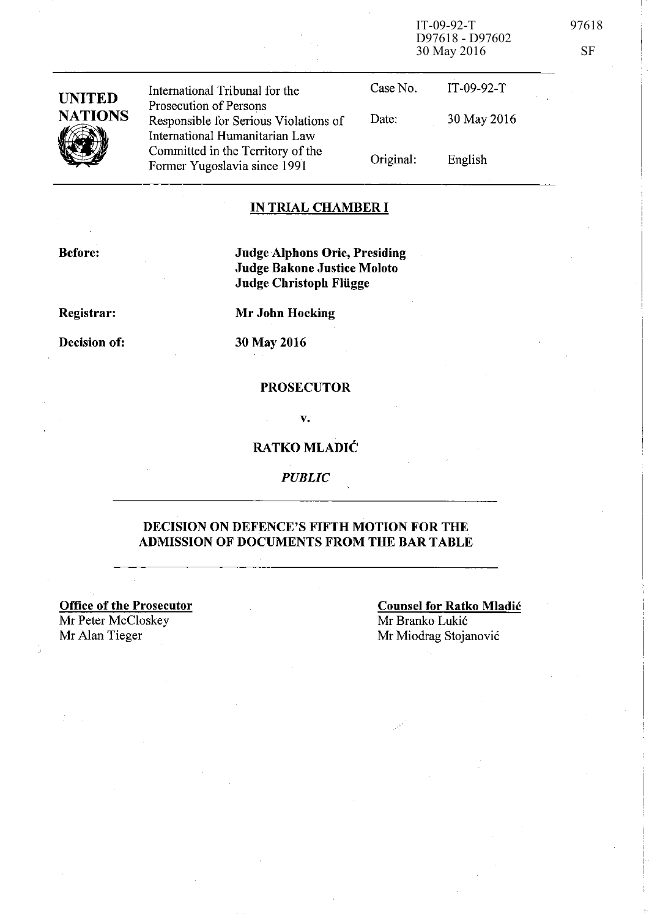IT-09-92-T 97618 D97618 - D97602 30 May 2016 SF

| <b>UNITED</b><br><b>NATIONS</b> | International Tribunal for the<br>Prosecution of Persons                | Case No.  | $IT-09-92-T$ |
|---------------------------------|-------------------------------------------------------------------------|-----------|--------------|
|                                 | Responsible for Serious Violations of<br>International Humanitarian Law | Date:     | 30 May 2016  |
|                                 | Committed in the Territory of the<br>Former Yugoslavia since 1991       | Original: | English      |

#### IN TRIAL CHAMBER **I**

Before:

Judge Alphons Orie, Presiding Judge Bakone Justice Moloto Judge Christoph Fliigge

Registrar: Decision of:

30 May 2016

Mr John Hocking

#### PROSECUTOR

v.

#### RATKO MLADIC

*PUBLIC* 

#### DECISION ON DEFENCE'S FIFTH MOTION FOR THE ADMISSION OF DOCUMENTS FROM THE BAR TABLE

Office of the Prosecutor Mr Peter McCloskey<br>Mr Alan Tieger

Counsel for Ratko Mladic Mr Branko Lukić Mr Miodrag Stojanović

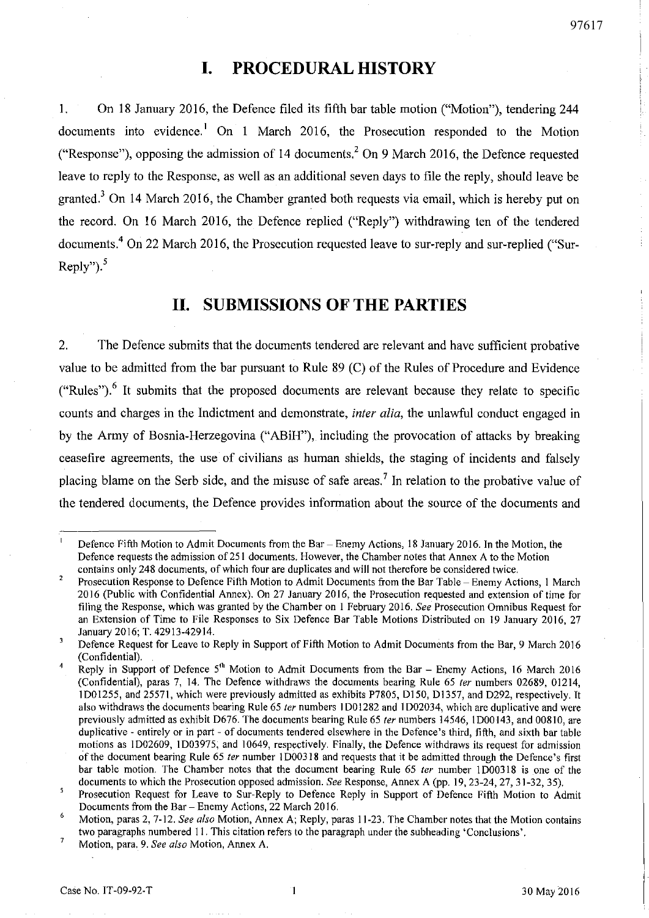## **I. PROCEDURAL HISTORY**

1. On 18 January 2016, the Defence filed its fifth bar table motion ("Motion"), tendering 244 documents into evidence.<sup>1</sup> On 1 March 2016, the Prosecution responded to the Motion ("Response"), opposing the admission of 14 documents.<sup>2</sup> On 9 March 2016, the Defence requested leave to reply to the Response, as well as an additional seven days to file the reply, should leave be granted.<sup>3</sup> On 14 March 2016, the Chamber granted both requests via email, which is hereby put on the record. On 16 March 2016, the Defence replied ("Reply") withdrawing ten of the tendered documents. 4 On 22 March 2016, the Prosecution requested leave to sur-reply and sur-replied ("Sur-Reply" $)$ ,  $^5$ 

## **11. SUBMISSIONS OF THE PARTIES**

2. The Defence submits that the documents tendered are relevant and have sufficient probative value to be admitted from the bar pursuant to Rule 89 (C) of the Rules of Procedure and Evidence  $("Rules").$ <sup>6</sup> It submits that the proposed documents are relevant because they relate to specific counts and charges in the Indictment and demonstrate, *inter alia,* the unlawful conduct engaged in by the Army of Bosnia-Herzegovina ("ABiH"), including the provocation of attacks by breaking ceasefire agreements, the use of civilians as human shields, the staging of incidents and falsely placing blame on the Serb side, and the misuse of safe areas.<sup>7</sup> In relation to the probative value of the tendered documents, the Defence provides information about the source of the documents and

Defence Fifth Motion to Admit Documents from the Bar - Enemy Actions, 18 January 2016. In the Motion, the Defence requests the admission of251 documents. However, the Chamber notes that Annex A to the Motion contains only 248 documents, of which four are duplicates and will not therefore be considered twice.

Prosecution Response to Defence Fifth Motion to Admit Documents from the Bar Table - Enemy Actions, I March 2016 (Public with Confidential Annex). On 27 January 2016, the Prosecution requested and extension of time for filing the Response, which was granted by the Chamber on 1 February 2016. *See* Prosecution Omnibus Request for an Extension of Time to File Responses to Six Defence Bar Table Motions Distributed on 19 January 2016, 27 January 2016; T. 42913-42914.

 $\overline{\mathbf{3}}$ Defence Request for Leave to Reply in Support of Fifth Motion to Admit Documents from the Bar, 9 March 2016 (Confidential).

Reply in Support of Defence 5<sup>th</sup> Motion to Admit Documents from the Bar - Enemy Actions, 16 March 2016 (Confidential), paras 7, 14. The Defence withdraws the documents bearing Rule 65 *ler* numbers 02689, 01214, ID01255, and 25571, which were previously admitted as exhibits P780S, D150, Dl357, and D292, respectively. It also withdraws the documents bearing Rule 65 *ler* numbers I DOl282 and I D02034, which are duplicative and were previously admitted as exhibit D676. The documents bearing Rule 65 *ler* numbers 14546, I DOOI43, and 00810, are duplicative - entirely or in part - of documents tendered elsewhere in the Defence's third, fifth, and sixth bar table motions as ID02609, ID03975, and 10649, respectively. Finally, the Defence withdraws its request for admission of the document bearing Rule 65 *ler* number I D00318 and requests that it be admitted through the Defence's first bar table motion. The Chamber notes that the document bearing Rule 65 *ter* number 1D00318 is one of the documents to which the Prosecution opposed admission. *See* Response, Annex A (pp. 19,23-24,27,31-32, 35).

<sup>5</sup> Prosecution Request for Leave to Sur-Reply to Defence Reply in Support of Defence Fifth Motion to Admit Documents from the Bar - Enemy Actions, 22 March 2016.

<sup>6</sup>  Motion, paras 2, 7-12. *See also* Motion, Annex A; Reply, paras 11-23. The Chamber notes that the Motion contains two paragraphs numbered 11. This citation refers to the paragraph under the subheading 'Conclusions'.

Motion, para. 9. *See also* Motion, Annex A.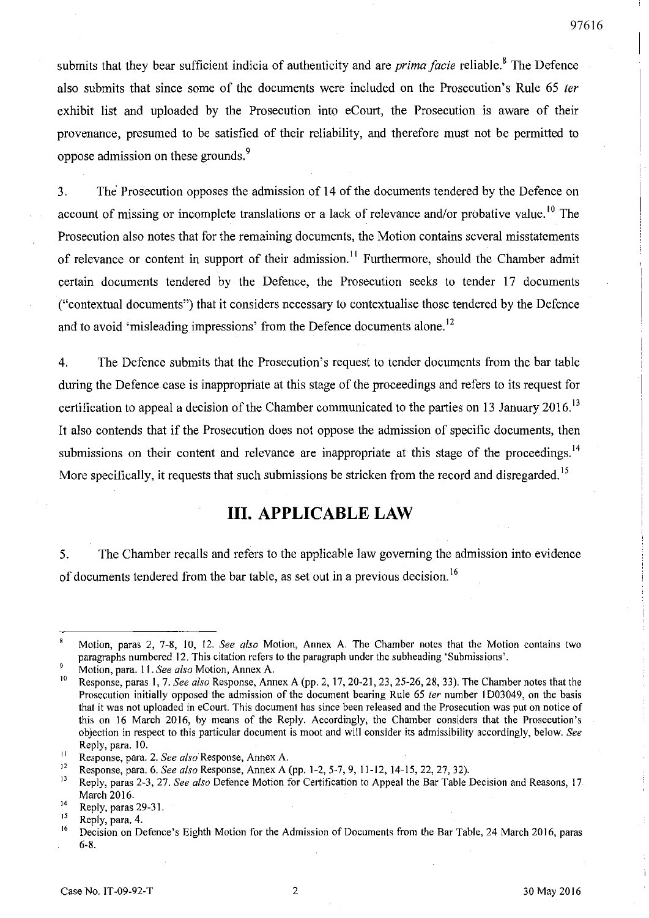submits that they bear sufficient indicia of authenticity and are *prima facie* reliable.8 The Defence also submits that since some of the documents were included on the Prosecution's Rule 65 fer exhibit list and uploaded by the Prosecution into eCourt, the Prosecution is aware of their provenance, presumed to be satisfied of their reliability, and therefore must not be permitted to oppose admission on these grounds.<sup>9</sup>

3. The Prosecution opposes the admission of 14 of the documents tendered by the Defence on account of missing or incomplete translations or a lack of relevance and/or probative value.<sup>10</sup> The Prosecution also notes that for the remaining documents, the Motion contains several misstatements of relevance or content in support of their admission.<sup>11</sup> Furthermore, should the Chamber admit certain documents tendered by the Defence, the Prosecution seeks to tender 17 documents ("contextual documents") that it considers necessary to contextualise those tendered by the Defence and to avoid 'misleading impressions' from the Defence documents alone.<sup>12</sup>

4. The Defence submits that the Prosecution's request to tender documents from the bar table during the Defence case is inappropriate at this stage of the proceedings and refers to its request for certification to appeal a decision of the Chamber communicated to the parties on 13 January 2016.<sup>13</sup> It also contends that if the Prosecution does not oppose the admission of specific documents, then submissions on their content and relevance are inappropriate at this stage of the proceedings.<sup>14</sup> More specifically, it requests that such submissions be stricken from the record and disregarded.<sup>15</sup>

## **Ill. APPLICABLE LAW**

5. The Chamber recalls and refers to the applicable law governing the admission into evidence of documents tendered from the bar table, as set out in a previous decision.<sup>16</sup>

Motion, paras 2, 7-8, 10, 12. *See also* Motion, Annex A. The Chamber notes that the Motion contains two paragraphs numbered 12. This citation refers to the paragraph under the subheading 'Submissions'.

<sup>9</sup> Motion, para. 11. *See also* Motion, Annex A.

<sup>10</sup> Response, paras 1, 7. *See also* Response, Annex A (pp. 2, 17,20-21,23,25-26,28, 33). The Chamber notes that the Prosecution initially opposed the admission of the document bearing Rule 65 *ter* number 1D03049, on the basis that it was not uploaded in eCourt. This document has since been released and the Prosecution was put on notice of this on 16 March 2016, by means of the Reply. Accordingly, the Chamber considers that the Prosecution's objection in respect to this particular document is moot and will consider its admissibility accordingly, below. *See*  Reply, para. 10.

<sup>11</sup>Response, para. 2. *See also* Response, Annex A.

<sup>&</sup>lt;sup>12</sup> Response, para. 6. *See also* Response, Annex A (pp. 1-2, 5-7, 9, 11-12, 14-15, 22, 27, 32).<br><sup>13</sup> Paply, paras 2.3, 27, See glas Defense Metion for Certification to Anneal the Par Table I.

i3 Reply, paras 2-3,27. *See also* Defence Motion for Certification to Appeal the Bar Table Decision and Reasons, 17 March 2016.

 $^{14}$  Reply, paras 29-31.

 $^{15}$  Reply, para. 4.<br><sup>16</sup> Decision on De

Decision on Defence's Eighth Motion for the Admission of Documents from the Bar Table, 24 March 2016, paras 6-8.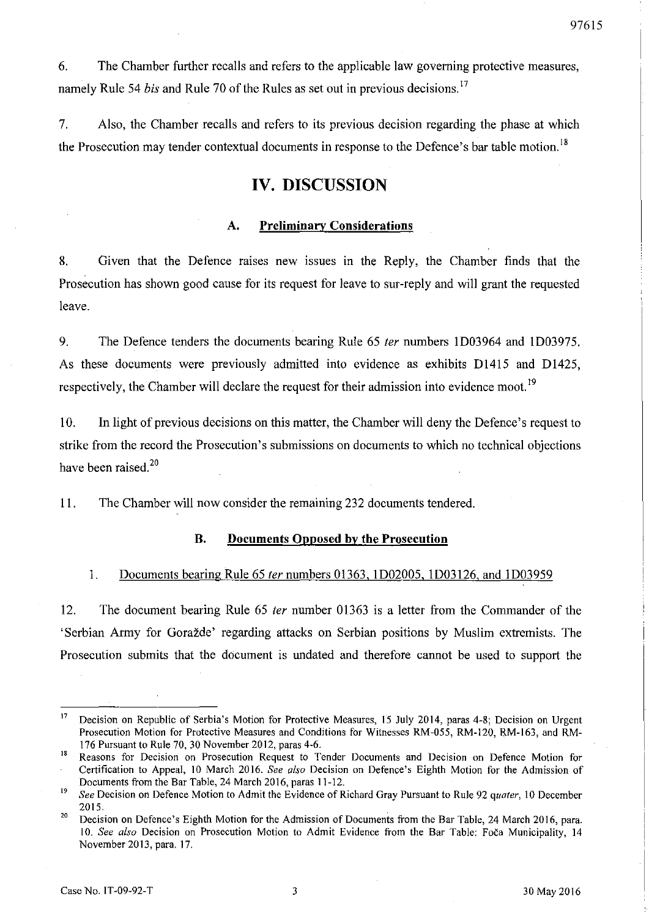6. The Chamber further recalls and refers to the applicable law governing protective measures, namely Rule 54 *bis* and Rule 70 of the Rules as set out in previous decisions. 17

7. Also, the Chamber recalls and refers to its previous decision regarding the phase at which the Prosecution may tender contextual documents in response to the Defence's bar table motion.<sup>18</sup>

## **IV. DISCUSSION**

#### A. **Preliminary Considerations**

8. Given that the Defence raises new issues in the Reply, the Chamber finds that the Prosecution has shown good cause for its request for leave to sur-reply and will grant the requested leave.

9. The Defence tenders the documents bearing Rule 65 fer numbers ID03964 and ID03975. As these documents were previously admitted into evidence as exhibits Dl415 and D1425, respectively, the Chamber will declare the request for their admission into evidence moot.<sup>19</sup>

10. **In** light of previous decisions on this matter, the Chamber will deny the Defence's request to strike from the record the Prosecution's submissions on documents to which no technical objections have been raised.<sup>20</sup>

11. The Chamber will now consider the remaining 232 documents tendered.

#### **B. Documents Opposed by the Prosecution**

#### 1. Documents bearing Rule 65 fer numbers 01363, ID02005, ID03126, and lD03959

12. The document bearing Rule 65 *ter* number 01363 is a letter from the Commander of the 'Serbian Army for Gorazde' regarding attacks on Serbian positions by Muslim extremists. The Prosecution submits that the document is undated and therefore carmot be used to support the

<sup>&</sup>lt;sup>17</sup> Decision on Republic of Serbia's Motion for Protective Measures, 15 July 2014, paras 4-8; Decision on Urgent Prosecution Motion for Protective Measures and Conditions for Witnesses RM-055, RM-120, RM-163, and RM-176 Pursuant to Rule 70, 30 November 2012, paras 4-6.

<sup>&</sup>lt;sup>18</sup> Reasons for Decision on Prosecution Request to Tender Documents and Decision on Defence Motion for Certification to Appeal, 10 March 2016. *See also* Decision on Defence's Eighth Motion for the Admission of Documents from the Bar Table, 24 March 2016, paras 11-12.

<sup>19</sup>*See* Decision on Defence Motion to Admit the Evidence of Richard Gray Pursuant to Rule 92 *quater,* 10 December 2015.

<sup>&</sup>lt;sup>20</sup> Decision on Defence's Eighth Motion for the Admission of Documents from the Bar Table, 24 March 2016, para. 10. See also Decision on Prosecution Motion to Admit Evidence from the Bar Table: Foča Municipality, 14 November 2013, para. 17.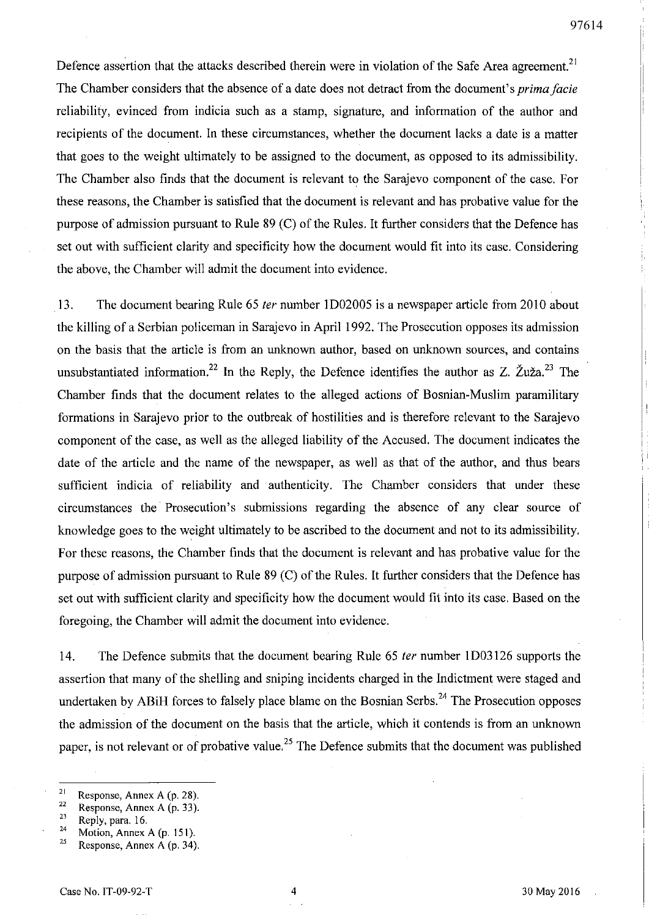Defence assertion that the attacks described therein were in violation of the Safe Area agreement.<sup>21</sup> The Chamber considers that the absence of a date does not detract from the document's *prima facie*  reliability, evinced from indicia such as a stamp, signature, and information of the author and recipients of the document. In these circumstances, whether the document lacks a date is a matter that goes to the weight ultimately to be assigned to the document, as opposed to its admissibility. The Chamber also finds that the document is relevant to the Sarajevo component of the case. For these reasons, the Chamber is satisfied that the document is relevant and has probative value for the purpose of admission pursuant to Rule 89 (C) of the Rules. It further considers that the Defence has set out with sufficient clarity and specificity how the document would fit into its case. Considering the above, the Chamber will admit the document into evidence.

13. The document bearing Rule 65 fer number 1D02005 is a newspaper article from 2010 about the killing of a Serbian policeman in Sarajevo in April 1992. The Prosecution opposes its admission on the basis that the article is from an unknown author, based on unknown sources, and contains unsubstantiated information.<sup>22</sup> In the Reply, the Defence identifies the author as Z.  $\check{Z}u\check{z}a$ <sup>23</sup> The Chamber finds that the document relates to the alleged actions of Bosnian-Muslim paramilitary formations in Sarajevo prior to the outbreak of hostilities and is therefore relevant to the Sarajevo component of the case, as well as the alleged liability of the Accused. The document indicates the date of the article and the name of the newspaper, as well as that of the author, and thus bears sufficient indicia of reliability and authenticity. The Chamber considers that under these circumstances the Prosecution's submissions regarding the absence of any clear source of knowledge goes to the weight ultimately to be ascribed to the document and not to its admissibility. For these reasons, the Chamber finds that the document is relevant and has probative value for the purpose of admission pursuant to Rule 89 (C) of the Rules. It further considers that the Defence has set out with sufficient clarity and specificity how the document would fit into its case. Based on the foregoing, the Chamber will admit the document into evidence.

14. The Defence submits that the document bearing Rule 65 fer number 1D03126 supports the assertion that many of the shelling and sniping incidents charged in the Indictment were staged and undertaken by ABiH forces to falsely place blame on the Bosnian Serbs.<sup>24</sup> The Prosecution opposes the admission of the document on the basis that the article, which it contends is from an unknown paper, is not relevant or of probative value.<sup>25</sup> The Defence submits that the document was published

<sup>&</sup>lt;sup>21</sup> Response, Annex A (p. 28).

 $\frac{22}{23}$  Response, Annex A (p. 33).

 $\frac{23}{24}$  Reply, para. 16.

<sup>&</sup>lt;sup>24</sup> Motion, Annex A (p. 151).<br><sup>25</sup> Besponse, Annex A (p. 34).

Response, Annex A (p. 34).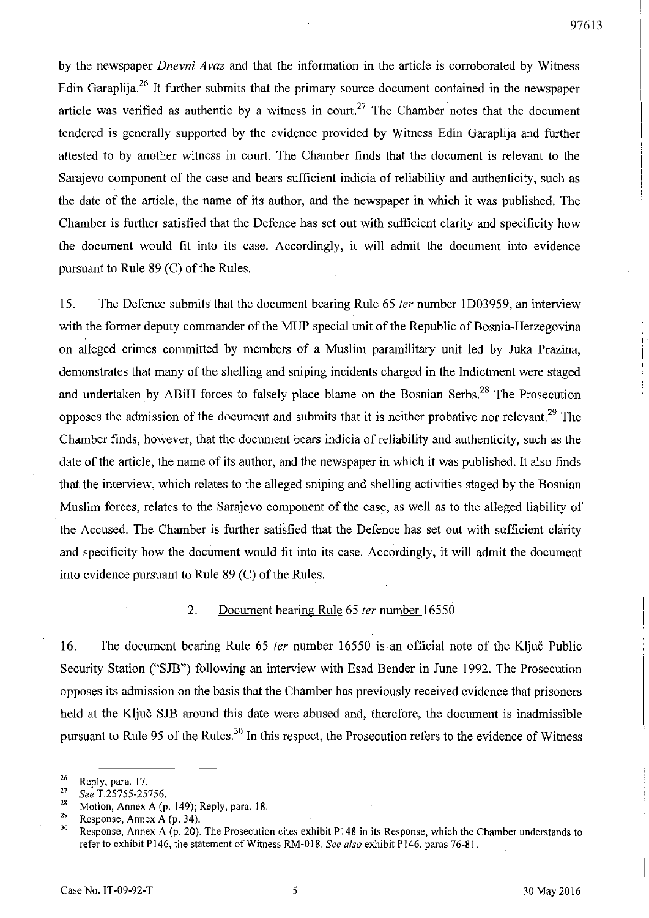by the newspaper *Dnevni Avaz* and that the information in the article is corroborated by Witness Edin Garaplija.<sup>26</sup> It further submits that the primary source document contained in the newspaper article was verified as authentic by a witness in court.<sup>27</sup> The Chamber notes that the document tendered is generally supported by the evidence provided by Witness Edin Garaplija and further attested to by another witness in court. The Chamber finds that the document is relevant to the Sarajevo component of the case and bears sufficient indicia of reliability and authenticity, such as the date of the article, the name of its author, and the newspaper in which it was published. The Chamber is further satisfied that the Defence has set out with sufficient clarity and specificity how the document would fit into its case. Accordingly, it will admit the document into evidence pursuant to Rule 89 (C) of the Rules.

15. The Defence submits that the document bearing Rule 65 fer number ID03959, an interview with the former deputy commander of the MUP special unit of the Republic of Bosnia-Herzegovina on alleged crimes committed by members of a Muslim paramilitary unit led by Juka Prazina, demonstrates that many of the shelling and sniping incidents charged in the Indictment were staged and undertaken by ABiH forces to falsely place blame on the Bosnian Serbs.<sup>28</sup> The Prosecution opposes the admission of the document and submits that it is neither probative nor relevant.<sup>29</sup> The Chamber finds, however, that the document bears indicia of reliability and authenticity, such as the date of the article, the name of its author, and the newspaper in which it was published. It also finds that the interview, which relates to the alleged sniping and shelling activities staged by the Bosnian Muslim forces, relates to the Sarajevo component of the case, as well as to the alleged liability of the Accused. The Chamber is further satisfied that the Defence has set out with sufficient clarity and specificity how the document would fit into its case. Accordingly, it will admit the document into evidence pursuant to Rule  $89$  (C) of the Rules.

#### 2. Document bearing Rule 65 *ter* number 16550

16. The document bearing Rule 65 ter number 16550 is an official note of the Ključ Public Security Station ("SJB") following an interview with Esad Bender in June 1992. The Prosecution opposes its admission on the basis that the Chamber has previously received evidence that prisoners held at the Ključ SJB around this date were abused and, therefore, the document is inadmissible pursuant to Rule 95 of the Rules.<sup>30</sup> In this respect, the Prosecution refers to the evidence of Witness

 $rac{26}{27}$  Reply, para. 17.

<sup>27</sup>*See* T.25755-25756.

<sup>&</sup>lt;sup>28</sup> Motion, Annex A (p. 149); Reply, para. 18.

<sup>&</sup>lt;sup>29</sup> Response, Annex A (p. 34).<br><sup>30</sup> Perponse, Annex A (p. 20).

Response, Annex A (p. 20). The Prosecution cites exhibit P148 in its Response, which the Chamber understands to refer to exhibit P146, the statement of Witness RM-O 18. *See also* exhibit P146, paras 76-81.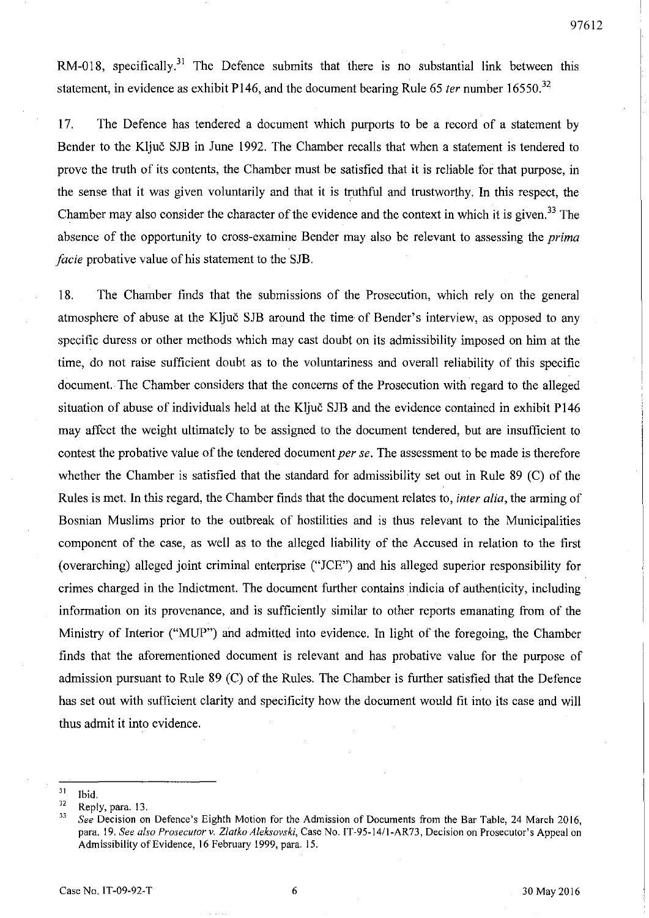RM-018, specifically.<sup>31</sup> The Defence submits that there is no substantial link between this statement, in evidence as exhibit P146, and the document bearing Rule 65 *ter* number 16550.<sup>32</sup>

17. The Defence has tendered a document which purports to be a record of a statement by Bender to the Kljuc SJB in June 1992. The Chamber recalls that when a statement is tendered to prove the truth of its contents, the Chamber must be satisfied that it is reliable for that purpose, in the sense that it was given voluntarily and that it is truthful and trustworthy. In this respect, the Chamber may also consider the character of the evidence and the context in which it is given.<sup>33</sup> The absence of the opportunity to cross-examine Bender may also be relevant to assessing the *prima facie* probative value of his statement to the SJB.

18. The Chamber finds that the submissions of the Prosecution, which rely on the general atmosphere of abuse at the Ključ SJB around the time of Bender's interview, as opposed to any specific duress or other methods which may cast doubt on its admissibility imposed on him at the time, do not raise sufficient doubt as to the voluntariness and overall reliability of this specific document. The Chamber considers that the concerns of the Prosecution with regard to the alleged situation of abuse of individuals held at the Ključ SJB and the evidence contained in exhibit P146 may affect the weight ultimately to be assigned to the document tendered, but are insufficient to contest the probative value of the tendered document *per se.* The assessment to be made is therefore whether the Chamber is satisfied that the standard for admissibility set out in Rule 89 (C) of the Rules is met. **In** this regard, the Chamber finds that the document relates to, *inter alia,* the arming of Bosnian Muslims prior to the outbreak of hostilities and is thus relevant to the Municipalities component of the case, as well as to the alleged liability of the Accused in relation to the first (overarching) alleged joint criminal enterprise ("JCE") and his alleged superior responsibility for crimes charged in the Indictment. The document further contains indicia of authenticity, including information on its provenance, and is sufficiently similar to other reports emanating from of the Ministry of Interior ("MUP") and admitted into evidence. **In** light of the foregoing, the Chamber finds that the aforementioned document is relevant and has probative value for the purpose of admission pursuant to Rule 89 (C) of the Rules. The Chamber is further satisfied that the Defence has set out with sufficient clarity and specificity how the document would fit into its case and will thus admit it into evidence.

 $\frac{31}{32}$  Ibid.

 $\frac{32}{33}$  Reply, para. 13.

*<sup>33</sup> See* Decision on Defence's Eighth Motion for the Admission of Documents from the Bar Table, 24 March 2016, para. 19. *See also Prosecutor* v. *Zlatko Aleksovski,* Case No. IT-95-141I-AR73, Decision on Prosecutor's Appeal on Admissibility of Evidence, 16 February 1999, para. IS.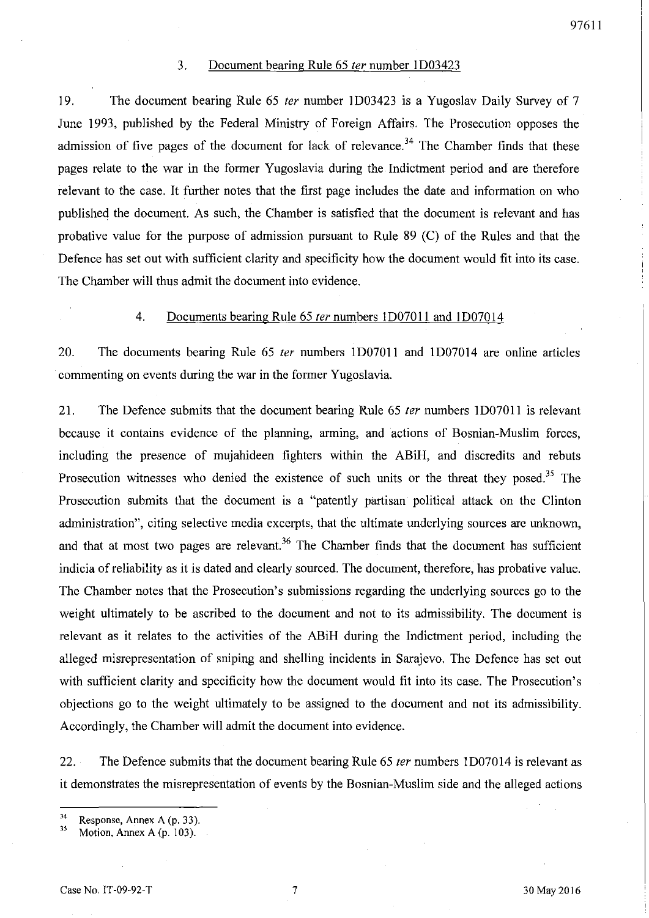#### 3. Document bearing Rule 65 *ter* number 1D03423

19. The document bearing Rule 65 ter number 1D03423 is a Yugoslav Daily Survey of 7 June 1993, published by the Federal Ministry of Foreign Affairs. The Prosecution opposes the admission of five pages of the document for lack of relevance.<sup>34</sup> The Chamber finds that these pages relate to the war in the former Yugoslavia during the Indictment period and are therefore relevant to the case. It further notes that the first page includes the date and information on who published the document. As such, the Chamber is satisfied that the document is relevant and has probative value for the purpose of admission pursuant to Rule 89 (C) of the Rules and that the Defence has set out with sufficient clarity and specificity how the document would fit into its case. The Chamber will thus admit the document into evidence.

#### 4. Documents bearing Rule 65 ter numbers 1D07011 and 1D07014

20. The documents bearing Rule 65 fer numbers ID07011 and ID07014 are online articles commenting on events during the war in the former Yugoslavia.

21. The Defence submits that the document bearing Rule 65 *ter* numbers 1D07011 is relevant because it contains evidence of the planning, arming, and actions of Bosnian-Muslim forces, including the presence of mujahideen fighters within the ABiH, and discredits and rebuts Prosecution witnesses who denied the existence of such units or the threat they posed.<sup>35</sup> The Prosecution submits that the document is a "patently partisan political attack on the Clinton administration", citing selective media excerpts, that the ultimate underlying sources are unknown, and that at most two pages are relevant.<sup>36</sup> The Chamber finds that the document has sufficient indicia of reliability as it is dated and clearly sourced. The document, therefore, has probative value. The Chamber notes that the Prosecution's submissions regarding the underlying sources go to the weight ultimately to be ascribed to the document and not to its admissibility. The document is relevant as it relates to the activities of the ABiH during the Indictment period, including the alleged misrepresentation of sniping and shelling incidents in Sarajevo. The Defence has set out with sufficient clarity and specificity how the document would fit into its case. The Prosecution's objections go to the weight ultimately to be assigned to the document and not its admissibility. Accordingly, the Chamber will admit the document into evidence.

22. The Defence submits that the document bearing Rule 65 *ter* numbers 1D07014 is relevant as it demonstrates the misrepresentation of events by the Bosnian-Muslim side and the alleged actions

 $^{34}$  Response, Annex A (p. 33).<br> $^{35}$  Motion Annex A (p. 103).

Motion, Annex A (p. 103).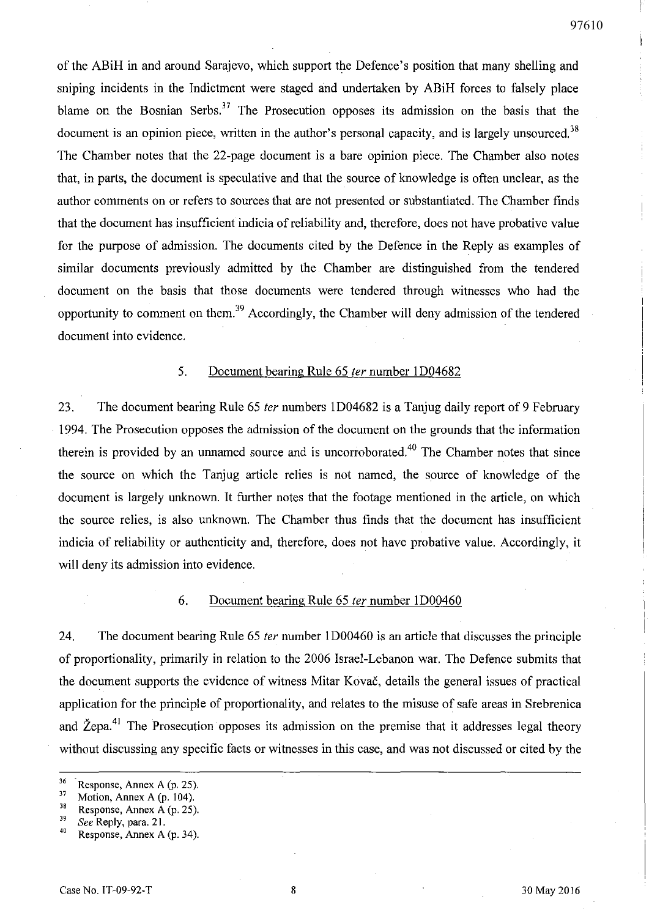of the ABiH in and around Sarajevo, which support the Defence's position that many shelling and sniping incidents in the Indictment were staged and undertaken by ABiH forces to falsely place blame on the Bosnian Serbs.<sup>37</sup> The Prosecution opposes its admission on the basis that the document is an opinion piece, written in the author's personal capacity, and is largely unsourced.<sup>38</sup> The Chamber notes that the 22-page document is a bare opinion piece. The Chamber also notes that, in parts, the document is speculative and that the source of knowledge is often unclear, as the author comments on or refers to sources that are not presented or substantiated. The Chamber finds that the document has insufficient indicia of reliability and, therefore, does not have probative value for the purpose of admission. The documents cited by the Defence in the Reply as examples of similar documents previously admitted by the Chamber are distinguished from the tendered document on the basis that those documents were tendered through witnesses who had the opportunity to comment on them.<sup>39</sup> Accordingly, the Chamber will deny admission of the tendered document into evidence.

#### 5. Document bearing Rule 65 ter number 1D04682

23. The document bearing Rule 65 ter numbers 1D04682 is a Tanjug daily report of 9 February 1994. The Prosecution opposes the admission of the document on the grounds that the information therein is provided by an unnamed source and is uncorroborated.<sup>40</sup> The Chamber notes that since the source on which the Tanjug article relies is not named, the source of knowledge of the document is largely unknown. It further notes that the footage mentioned in the article, on which the source relies, is also unknown. The Chamber thus finds that the document has insufficient indicia of reliability or authenticity and, therefore, does not have probative value. Accordingly, it will deny its admission into evidence.

#### 6. Document bearing Rule 65 fer number ID00460

24. The document bearing Rule 65 ter number 1D00460 is an article that discusses the principle of proportionality, primarily in relation to the 2006 Israel-Lebanon war. The Defence submits that the document supports the evidence of witness Mitar Kovac, details the general issues of practical application for the principle of proportionality, and relates to the misuse of safe areas in Srebrenica and Žepa.<sup>41</sup> The Prosecution opposes its admission on the premise that it addresses legal theory without discussing any specific facts or witnesses in this case, and was not discussed or cited by the

 $36$  Response, Annex A (p. 25).

 $37$  Motion, Annex A (p. 104).

 $3<sup>38</sup>$  Response, Annex A (p. 25).

 $\frac{39}{40}$  See Reply, para. 21.

Response, Annex A (p. 34).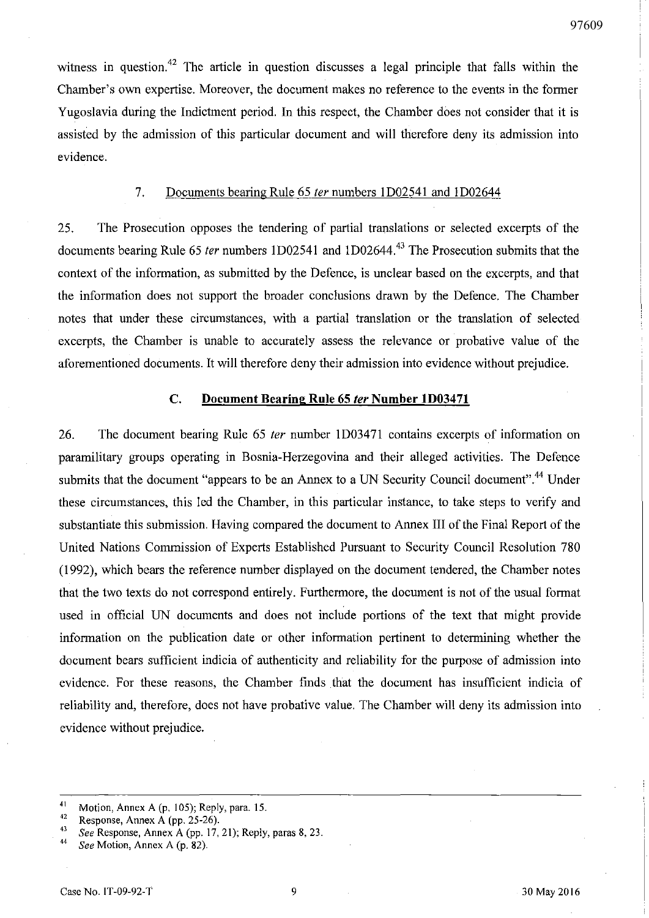witness in question.<sup>42</sup> The article in question discusses a legal principle that falls within the Chamber's own expertise. Moreover, the document makes no reference to the events in the former Yugoslavia during the Indictment period. In this respect, the Chamber does not consider that it is assisted by the admission of this particular document and will therefore deny its admission into evidence.

#### 7. Documents bearing Rule 65 fer numbers I D02541 and I D02644

25. The Prosecution opposes the tendering of partial translations or selected excerpts of the documents bearing Rule 65 ter numbers 1D02541 and 1D02644.<sup>43</sup> The Prosecution submits that the context of the information, as submitted by the Defence, is unclear based on the excerpts, and that the information does not support the broader conclusions drawn by the Defence. The Chamber notes that under these circumstances, with a partial translation or the translation of selected excerpts, the Chamber is unable to accurately assess the relevance or probative value of the aforementioned documents. It will therefore deny their admission into evidence without prejudice.

#### C. Document Bearing Rule 65 fer Number ID03471

26. The document bearing Rule 65 ter number 1D03471 contains excerpts of information on paramilitary groups operating in Bosnia-Herzegovina and their alleged activities. The Defence submits that the document "appears to be an Annex to a UN Security Council document".<sup>44</sup> Under these circumstances, this led the Chamber, in this particular instance, to take steps to verify and substantiate this submission. Having compared the document to Annex III of the Final Report of the United Nations Commission of Experts Established Pursuant to Security Council Resolution 780 (1992), which bears the reference number displayed on the document tendered, the Chamber notes that the two texts do not correspond entirely. Furthermore, the document is not of the usual format used in official UN documents and does not include portions of the text that might provide information on the publication date or other information pertinent to determining whether the document bears sufficient indicia of authenticity and reliability for the purpose of admission into evidence. For these reasons, the Chamber finds that the document has insufficient indicia of reliability and, therefore, does not have probative value. The Chamber will deny its admission into evidence without prejudice.

<sup>43</sup> See Response, Annex A (pp. 17, 21); Reply, paras 8, 23.<br><sup>44</sup> See Motion, Annex A (p. 82)

<sup>&</sup>lt;sup>41</sup> Motion, Annex A (p. 105); Reply, para. 15.<br><sup>42</sup> Personne Annex A (pp. 25.26)

<sup>&</sup>lt;sup>42</sup> Response, Annex A (pp. 25-26).

<sup>44</sup>*See* Motion, Annex A (p. 82).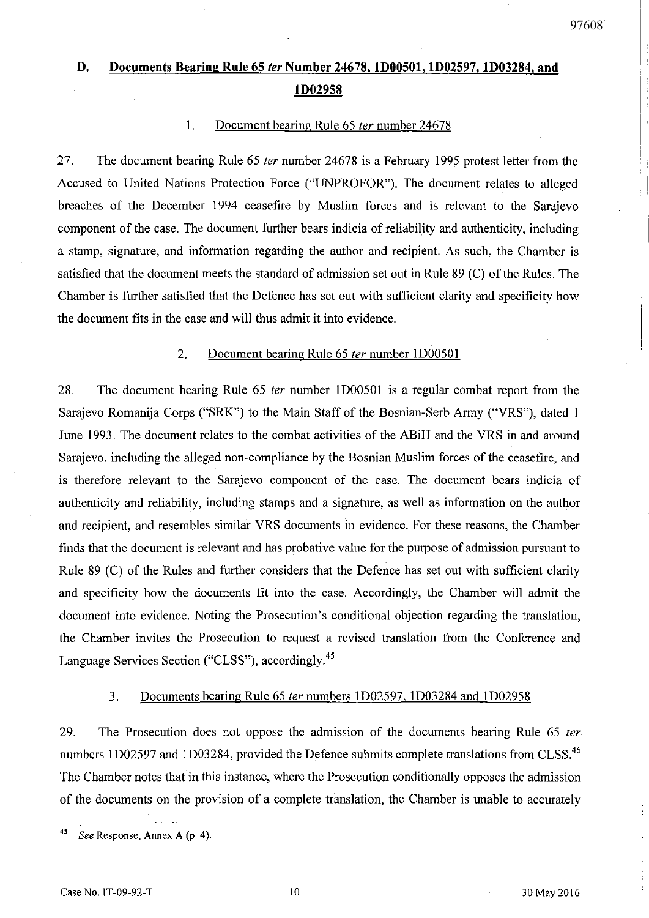# **D. Documents Bearing Rule 65** *ler* **Number 24678. ID00501, ID02597, ID03284, and lD02958**

#### 1. Document bearing Rule 65 *ter* number 24678

27. The document bearing Rule 65 *ter* number 24678 is a February 1995 protest letter from the Accused to United Nations Protection Force ("UNPROFOR"). The document relates to alleged breaches of the December 1994 ceasefire by Muslim forces and is relevant to the Sarajevo component of the case. The document further bears indicia of reliability and authenticity, including a stamp, signature, and information regarding the author and recipient. As such, the Chamber is satisfied that the document meets the standard of admission set out in Rule 89 (C) of the Rules. The Chamber is further satisfied that the Defence has set out with sufficient clarity and specificity how the document fits in the case and will thus admit it into evidence.

#### 2. Document bearing Rule 65 *ter* number 1D00501

28. The document bearing Rule 65 *ter* number 1D00501 is a regular combat report from the Sarajevo Romanija Corps ("SRK") to the Main Staff of the Bosnian-Serb Army ("VRS"), dated I June 1993. The document relates to the combat activities of the ABiH and the VRS in and around Sarajevo, including the alleged non-compliance by the Bosnian Muslim forces of the ceasefire, and is therefore relevant to the Sarajevo component of the case. The document bears indicia of authenticity and reliability, including stamps and a signature, as well as information on the author and recipient, and resembles similar VRS documents in evidence. For these reasons, the Chamber finds that the document is relevant and has probative value for the purpose of admission pursuant to Rule 89 (C) of the Rules and further considers that the Defence has set out with sufficient clarity and specificity how the documents fit into the case. Accordingly, the Chamber will admit the document into evidence. Noting the Prosecution's conditional objection regarding the translation, the Chamber invites the Prosecution to request a revised translation from the Conference and Language Services Section ("CLSS"), accordingly.45

#### 3. Documents bearing Rule 65 *ter* numbers 1D02597, 1D03284 and 1D02958

29. The Prosecution does not oppose the admission of the documents bearing Rule 65 ternumbers 1D02597 and 1D03284, provided the Defence submits complete translations from CLSS.<sup>46</sup> The Chamber notes that in this instance, where the Prosecution conditionally opposes the admission of the documents on the provision of a complete translation, the Chamber is unable to accurately

*<sup>45</sup> See* Response, Annex A (p. 4).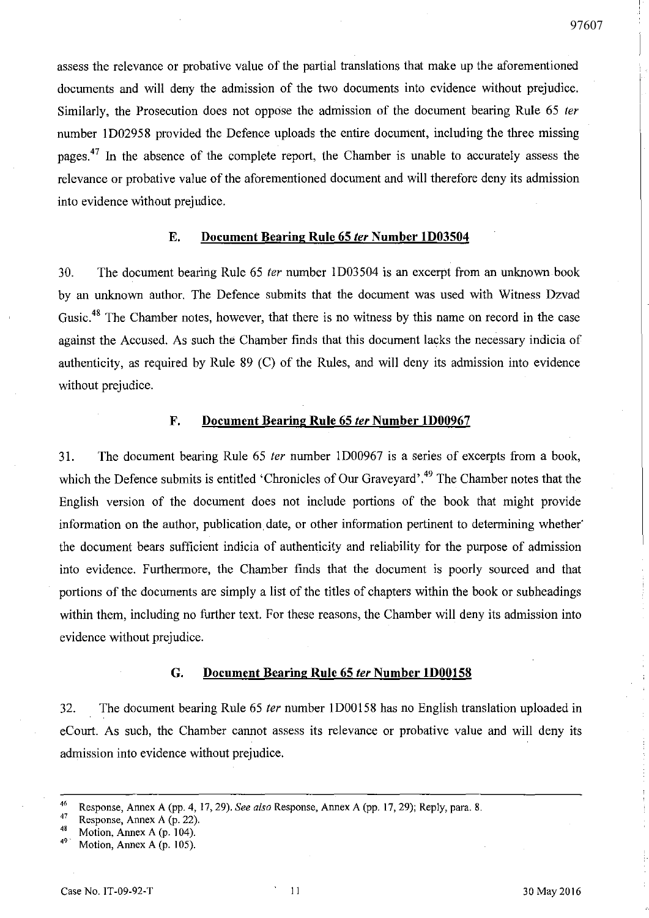assess the relevance or probative value of the partial translations that make up the aforementioned documents and will deny the admission of the two documents into evidence without prejudice. Similarly, the Prosecution does not oppose the admission of the document bearing Rule 65 fer number ID02958 provided the Defence uploads the entire document, including the three missing pages.<sup>47</sup> In the absence of the complete report, the Chamber is unable to accurately assess the relevance or probative value of the aforementioned document and will therefore deny its admission into evidence without prejudice.

#### E. **Document Bearing Rule** 65 (er **Number ID03504**

30. The document bearing Rule 65 fer number ID03504 is an excerpt from an unknown book by an unknown author. The Defence submits that the document was used with Witness Dzvad Gusic.<sup>48</sup> The Chamber notes, however, that there is no witness by this name on record in the case against the Accused. As such the Chamber finds that this document lacks the necessary indicia of authenticity, as required by Rule 89 (C) of the Rules, and will deny its admission into evidence without prejudice.

#### F. **Document** Bearing **Rule** 65 (er **Number ID00967**

31. The document bearing Rule 65 fer number ID00967 is a series of excerpts from a book, which the Defence submits is entitled 'Chronicles of Our Graveyard'.<sup>49</sup> The Chamber notes that the English version of the document does not include portions of the book that might provide information on the author, publication date, or other information pertinent to determining whether' the document bears sufficient indicia of authenticity and reliability for the purpose of admission into evidence. Furthermore, the Chamber finds that the document is poorly sourced and that portions of the documents are simply a list of the titles of chapters within the book or subheadings within them, including no further text. For these reasons, the Chamber will deny its admission into evidence without prejudice.

#### G. **Document** Bearing **Rule** 65 (er **Number ID00158**

32. The document bearing Rule 65 ter number 1D00158 has no English translation uploaded in eCourt. As such, the Chamber cannot assess its relevance or probative value and will deny its admission into evidence without prejudice.

<sup>46</sup> Response, Annex A (pp. 4,17,29). *See a/so* Response, Annex A (pp. 17,29); Reply, para. 8.

<sup>&</sup>lt;sup>47</sup> Response, Annex A (p. 22).

<sup>&</sup>lt;sup>48</sup> Motion, Annex A (p. 104).<br><sup>49</sup> Motion, Annex A (p. 105).

Motion, Annex A (p. 105).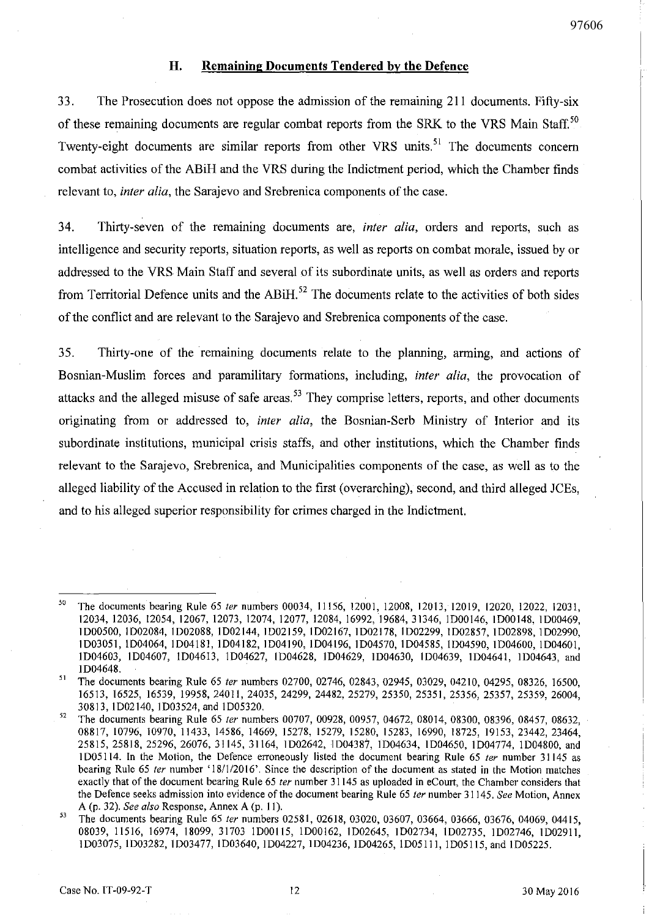### **H. Remaining Documents Tendered by the Defence**

33. The Prosecution does not oppose the admission of the remaining 211 documents. Fifty-six of these remaining documents are regular combat reports from the SRK to the VRS Main Staff.<sup>50</sup> Twenty-eight documents are similar reports from other VRS units.<sup>51</sup> The documents concern combat activities of the ABiH and the VRS during the Indictment period, which the Chamber finds relevant to, *inter alia,* the Sarajevo and Srebrenica components of the case.

34. Thirty-seven of the remaining documents are, *inter alia,* orders and reports, such as intelligence and security reports, situation reports, as well as reports on combat morale, issued by or addressed to the VRS Main Staff and several of its subordinate units, as well as orders and reports from Territorial Defence units and the  $ABiH$ <sup>52</sup>. The documents relate to the activities of both sides of the conflict and are relevant to the Sarajevo and Srebrenica components of the case.

35. Thirty-one of the remaining documents relate to the planning, arming, and actions of Bosnian-Muslim forces and paramilitary formations, including, *inter alia,* the provocation of attacks and the alleged misuse of safe areas.<sup>53</sup> They comprise letters, reports, and other documents originating from or addressed to, *inter alia,* the Bosnian-Serb Ministry of Interior and its subordinate institutions, municipal crisis staffs, and other institutions, which the Chamber finds relevant to the Sarajevo, Srebrenica, and Municipalities components of the case, as well as to the alleged liability of the Accused in relation to the first (overarching), second, and third alleged JCEs, and to his alleged superior responsibility for crimes charged in the Indictment.

<sup>50</sup> The documents bearing Rule 65 *ter* numbers 00034, 11156, 12001, 12008, 12013, 12019, 12020, 12022, 12031, 12034,12036,12054,12067,12073,12074,12077,12084, 16992, 19684,31346, lD00146, lD00148, lD00469, lD00500, lD02084, I D02088, lD02144, lD02159, lD02167, lD02178, lD02299, lD02857, lD02898, lD02990, lD03051, lD04064, lD04181, lD04182, lD04190, lD04196, lD04570, lD04585, lD04590, lD04600, lD04601, lD04603, lD04607, lD04613, lD04627, lD04628, lD04629, lD04630, lD04639, lD04641, lD04643, and lD04648.

<sup>&</sup>lt;sup>51</sup> The documents bearing Rule 65 *ter* numbers 02700, 02746, 02843, 02945, 03029, 04210, 04295, 08326, 16500, 16513, 16525, 16539, 19958,24011,24035,24299,24482,25279,25350,25351, 25356, 25357, 25359, 26004, 30813, lD02140, lD03524, and lD05320.

<sup>52</sup> The documents bearing Rule 65 *ter* numbers 00707, 00928, 00957, 04672, 08014, 08300, 08396, 08457, 08632, 08817, 10796, 10970, 11433, 14586, 14669, 15278, 15279, 15280, 15283, 16990, 18725, 19153,23442,23464, 25815, 25818, 25296, 26076, 31145, 31164, lD02642, lD04387, lD04634, lD04650, lD04774, 1004800, and ID05114. In the Motion, the Defence erroneously listed the document bearing Rule 65 *ter* number 31145 as bearing Rule 65 *ter* number '18/1/2016'. Since the description of the document as stated in the Motion matches exactly that of the document bearing Rule 65 *ter* number 31145 as uploaded in eCourt, the Chamber considers that the Defence seeks admission into evidence of the document bearing Rule 65 *ter* number 31145. *See* Motion, Annex A (p. 32). *See also* Response, Annex A (p. 11).

<sup>53</sup> The documents bearing Rule 65 *ter* numbers 02581, 02618, 03020, 03607, 03664, 03666, 03676, 04069, 04415, 08039, 11516, 16974, 18099, 31703 1000115, lD00162, 1002645, 1002734, lD02735, 1002746, 1002911, 1003075, 1003282, 1003477, 1003640, 1004227, 1004236, 1004265, 1005111, 1005115, and 1005225.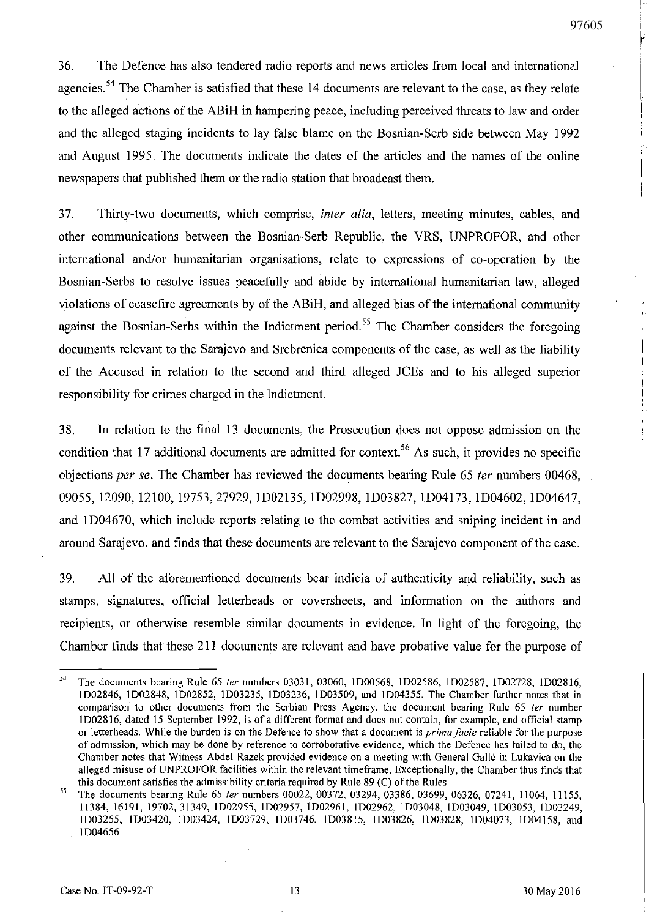36. The Defence has also tendered radio reports and news articles from local and international agencies.<sup>54</sup> The Chamber is satisfied that these 14 documents are relevant to the case, as they relate to the alleged actions of the ABiH in hampering peace, including perceived threats to law and order and the alleged staging incidents to lay false blame on the Bosnian-Serb side between May 1992 and August 1995. The documents indicate the dates of the articles and the names of the online newspapers that published them or the radio station that broadcast them.

37. Thirty-two documents, which comprise, *inter alia,* letters, meeting minutes, cables, and other communications between the Bosnian-Serb Republic, the VRS, UNPROFOR, and other international and/or humanitarian organisations, relate to expressions of co-operation by the Bosnian-Serbs to resolve issues peacefully and abide by international humanitarian law, alleged violations of ceasefire agreements by of the ABiH, and alleged bias of the international community against the Bosnian-Serbs within the Indictment period.<sup>55</sup> The Chamber considers the foregoing documents relevant to the Sarajevo and Srebrenica components of the case, as well as the liability of the Accused in relation to the second and third alleged JCEs and to his alleged superior responsibility for crimes charged in the Indictment.

38. In relation to the final 13 documents, the Prosecution does not oppose admission on the condition that 17 additional documents are admitted for context.<sup>56</sup> As such, it provides no specific objections *per se.* The Chamber has reviewed the documents bearing Rule 65 *ter* numbers 00468, 09055, 12090, 12100, 19753,27929, ID02135, ID02998, ID03827, ID04173, ID04602, ID04647, and 1 D04670, which include reports relating to the combat activities and sniping incident in and around Sarajevo, and finds that these documents are relevant to the Sarajevo component of the case.

39. All of the aforementioned documents bear indicia of authenticity and reliability, such as stamps, signatures, official letterheads or coversheets, and information on the authors and recipients, or otherwise resemble similar documents in evidence. In light of the foregoing, the Chamber finds that these 211 documents are relevant and have probative value for the purpose of

<sup>54</sup> The documents bearing Rule 65 *ter* numbers 03031, 03060, 1D00568, 1D02586, 1D02587, 1D02728, 1D02816, 1D02846, 1D02848, ID02852, 1D03235, 1D03236, 1D03509, and 1D04355. The Chamber further notes that in comparison to other documents from the Serbian Press Agency, the document bearing Rule 65 *ler* number 1002816, dated 15 September 1992, is of a different format and does not contain, for example, and official stamp or letterheads. While the burden is on the Defence to show that a document is *prima facie* reliable for the purpose of admission, which may be done by reference to corroborative evidence, which the Defence has failed to do, the Chamber notes that Witness Abdel Razek provided evidence on a meeting with General Galic in Lukavica on the alleged misuse ofUNPROFOR facilities within the relevant timeframe. Exceptionally, the Chamber thus finds that this document satisfies the admissibility criteria required by Rule 89 (C) of the Rules.

<sup>55</sup> The documents bearing Rule 65 *ler* numbers 00022, 00372, 03294, 03386, 03699, 06326, 07241, 11064, 11155, 11384, 16191, 19702,31349, 1D02955, 1D02957, 1D02961, 1D02962, 1D03048, ID03049, 1003053, ID03249, 1D03255, 1D03420, 1D03424, 1D03729, 1D03746, 1D03815, 1D03826, 1D03828, ID04073, 1D04158, and 1D04656.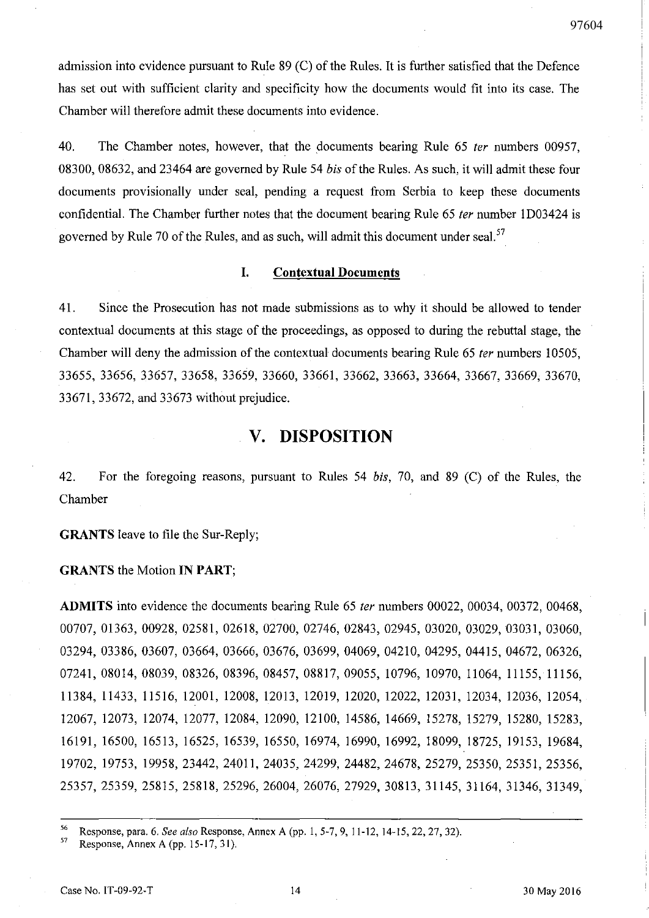admission into evidence pursuant to Rule 89 (C) of the Rules. It is further satisfied that the Defence has set out with sufficient clarity and specificity how the documents would fit into its case. The Chamber will therefore admit these documents into evidence.

40. The Chamber notes, however, that the documents bearing Rule 65 fer numbers 00957, 08300,08632, and 23464 are governed by Rule 54 *bis* of the Rules. As such, it will admit these four documents provisionally under seal, pending a request from Serbia to keep these documents confidential. The Chamber further notes that the document bearing Rule 65 *ter* number 1D03424 is governed by Rule 70 of the Rules, and as such, will admit this document under seal.  $57$ 

#### **I. Contextual Documents**

41. Since the Prosecution has not made submissions as to why it should be allowed to tender contextual documents at this stage of the proceedings, as opposed to during the rebuttal stage, the Chamber will deny the admission of the contextual documents bearing Rule 65 *ter* numbers 10505, 33655, 33656, 33657, 33658, 33659, 33660, 33661, 33662, 33663, 33664, 33667, 33669; 3367~ 33671, 33672, and 33673 without prejudice.

## **v. DISPOSITION**

42. For the foregoing reasons, pursuant to Rules 54 *bis,* 70, and 89 (C) of the Rules, the Chamber

**GRANTS** leave to file the Sur-Reply;

**GRANTS** the Motion **IN** PART;

**ADMITS** into evidence the documents bearing Rule 65 fer numbers 00022, 00034, 00372, 00468, 00707,01363,00928,02581,02618,02700,02746,02843, 02945, 03020, 03029, 03031, 03060, 03294,03386,03607,03664,03666,03676,03699, 04069, 04210, 04295, 04415, 04672, 06326, 07241,08014,08039,08326,08396,08457,08817,09055, 10796, 10970, 11064, 11155, 11156, 11384, 11433, 11516, 12001, 12008, 12013, 12019, 12020, 12022, 12031, 12034, 12036, 12054, 12067, 12073, 12074, 12077, 12084, 12090, 12100, 14586, 14669, 15278, 15279, 15280, 15283, 16191, 16500, 16513, 16525, 16539, 16550, 16974, 16990, 16992, 18099, 18725, 19153, 19684, 19702, 19753, 19958, 23442, 24011, 24035, 24299, 24482, 24678, 25279, 25350, 25351, 25356, 25357, 25359, 25815, 25818, 25296, 26004, 26076, 27929, 30813, 31145, 31164, 31346, 31349,

56 Response, para. 6. *See also* Response, Annex A (pp. 1, 5-7, 9, 11-12, 14-15, 22, 27, 32).<br>
Response, Annex A (pp. 15-17, 31)

Response, Annex A (pp. 15-17, 31).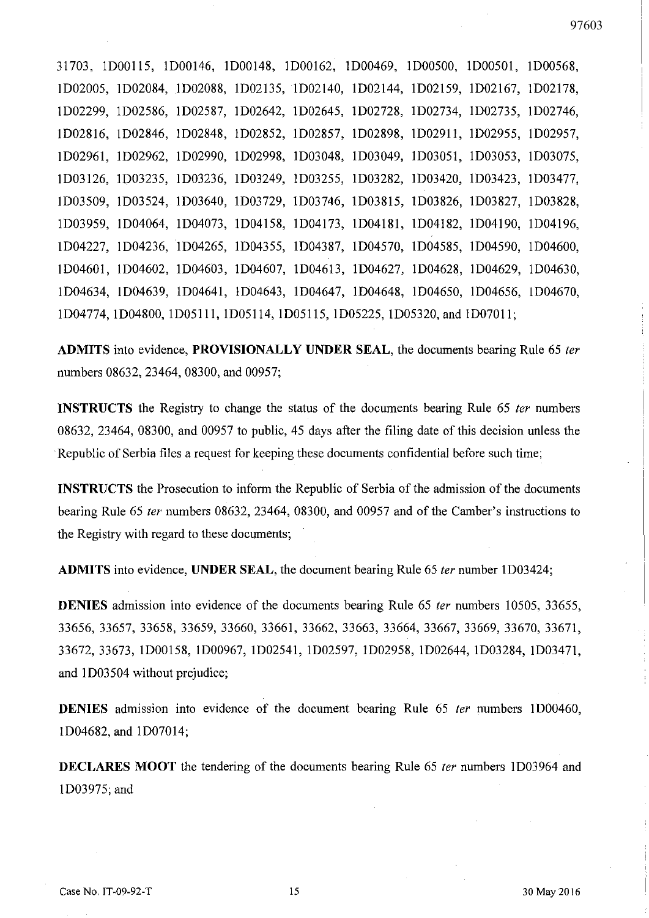31703, 1D00115, 1D00146, 1D00148, 1D00162, 1D00469, 1D00500, 1D00501, 1D00568, 1D02005, 1D02084, 1D02088, 1D02135, 1D02140, 1D02144, 1D02159, 1D02167, 1D02178, 1D02299, 1D02586, 1D02587, 1D02642, 1D02645, 1D02728, 1D02734, 1D02735, 1D02746, 1D02816, 1D02846, 1D02848, 1D02852, 1D02857, 1D02898, 1D02911, 1D02955, 1D02957, 1D02961, 1D02962, 1D02990, 1D02998, 1D03048, 1D03049, 1D03051, 1D03053, 1D03075, 1D03126, 1l)03235, 1D03236, 1D03249, 1D03255, 1D03282, 1D03420, 1D03423, 1D03477, 1D03509, 1D03524, 1D03640, 1D03729, 1D03746, 1D03815, 1D03826, 1D03827, 1D03828, 1D03959, 1D04064, 1D04073, 1D04158, 1D04173, 1D04181, 1D04182, 1D04190, 1D04196, 1D04227, 1D04236, 1D04265, 1D04355, 1D04387, 1D04570, 1D04585, 1D04590, 1D04600, 1D04601, 1D04602, 1D04603, 1D04607, 1D04613, 1D04627, 1D04628, 1D04629, 1D04630, 1D04634, 1D04639, 1D04641, 1D04643, 1D04647, 1D04648, 1D04650, 1D04656, 1D04670, 1D04774, 1D04800, 1D05111, 1D05114, 1D05115, 1D05225, 1D05320, and 1D07011;

**ADMITS** into evidence, **PROVISIONALLY UNDER SEAL,** the documents bearing Rule 65 fer numbers 08632, 23464, 08300, and 00957;

**INSTRUCTS** the Registry to change the status of the documents bearing Rule 65 *ter* numbers 08632, 23464, 08300, and 00957 to public, 45 days after the filing date of this decision unless the . Republic of Serbia files a request for keeping these documents confidential before such time;

**INSTRUCTS** the Prosecution to inform the Republic of Serbia of the admission of the documents bearing Rule 65 fer numbers 08632, 23464, 08300, and 00957 and of the Camber's instructions to the Registry with regard to these documents;

**ADMITS** into evidence, **UNDER SEAL,** the document bearing Rule 65 fer number 1D03424;

**DENIES** admission into evidence of the documents bearing Rule 65 fer numbers 10505, 33655, 33656, 33657, 33658, 33659, 33660, 33661, 33662, 33663, 33664, 33667, 33669, 33670, 33671, 33672,33673, 1D00158, 1D00967, 1D02541, 1D02597, 1D02958, 1D02644, 1D03284, 1D03471, and 1D03504 without prejudice;

**DENIES** admission into evidence of the document bearing Rule 65 *ter* numbers 1D00460, 1D04682, and 1D07014;

**DECLARES MOOT** the tendering of the documents bearing Rule 65 *ter* numbers 1D03964 and 1D03975; and